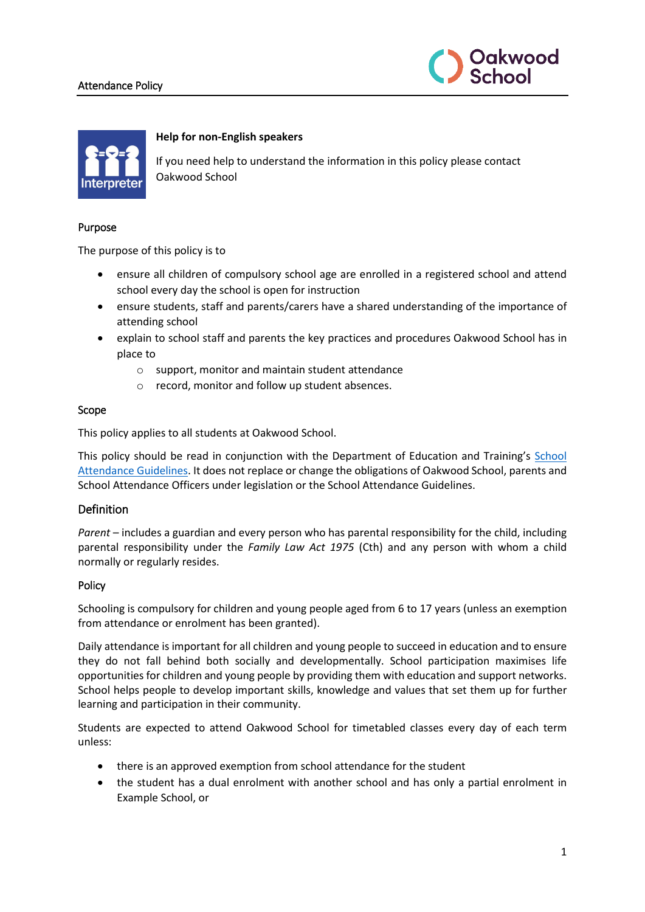### Attendance Policy





### **Help for non-English speakers**

If you need help to understand the information in this policy please contact Oakwood School

#### Purpose

The purpose of this policy is to

- ensure all children of compulsory school age are enrolled in a registered school and attend school every day the school is open for instruction
- ensure students, staff and parents/carers have a shared understanding of the importance of attending school
- explain to school staff and parents the key practices and procedures Oakwood School has in place to
	- o support, monitor and maintain student attendance
	- o record, monitor and follow up student absences.

#### Scope

This policy applies to all students at Oakwood School.

This policy should be read in conjunction with the Department of Education and Training's [School](https://www2.education.vic.gov.au/pal/attendance/guidance)  [Attendance Guidelines.](https://www2.education.vic.gov.au/pal/attendance/guidance) It does not replace or change the obligations of Oakwood School, parents and School Attendance Officers under legislation or the School Attendance Guidelines.

## Definition

*Parent* – includes a guardian and every person who has parental responsibility for the child, including parental responsibility under the *Family Law Act 1975* (Cth) and any person with whom a child normally or regularly resides.

#### Policy

Schooling is compulsory for children and young people aged from 6 to 17 years (unless an exemption from attendance or enrolment has been granted).

Daily attendance is important for all children and young people to succeed in education and to ensure they do not fall behind both socially and developmentally. School participation maximises life opportunities for children and young people by providing them with education and support networks. School helps people to develop important skills, knowledge and values that set them up for further learning and participation in their community.

Students are expected to attend Oakwood School for timetabled classes every day of each term unless:

- there is an approved exemption from school attendance for the student
- the student has a dual enrolment with another school and has only a partial enrolment in Example School, or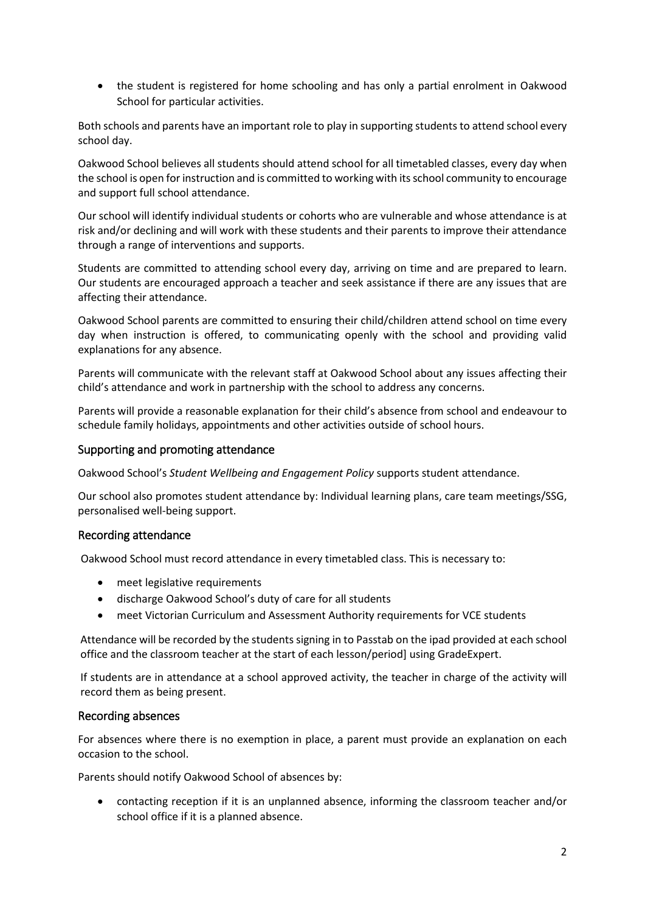• the student is registered for home schooling and has only a partial enrolment in Oakwood School for particular activities.

Both schools and parents have an important role to play in supporting students to attend school every school day.

Oakwood School believes all students should attend school for all timetabled classes, every day when the school is open for instruction and is committed to working with its school community to encourage and support full school attendance.

Our school will identify individual students or cohorts who are vulnerable and whose attendance is at risk and/or declining and will work with these students and their parents to improve their attendance through a range of interventions and supports.

Students are committed to attending school every day, arriving on time and are prepared to learn. Our students are encouraged approach a teacher and seek assistance if there are any issues that are affecting their attendance.

Oakwood School parents are committed to ensuring their child/children attend school on time every day when instruction is offered, to communicating openly with the school and providing valid explanations for any absence.

Parents will communicate with the relevant staff at Oakwood School about any issues affecting their child's attendance and work in partnership with the school to address any concerns.

Parents will provide a reasonable explanation for their child's absence from school and endeavour to schedule family holidays, appointments and other activities outside of school hours.

## Supporting and promoting attendance

Oakwood School's *Student Wellbeing and Engagement Policy* supports student attendance.

Our school also promotes student attendance by: Individual learning plans, care team meetings/SSG, personalised well-being support.

#### Recording attendance

Oakwood School must record attendance in every timetabled class. This is necessary to:

- meet legislative requirements
- discharge Oakwood School's duty of care for all students
- meet Victorian Curriculum and Assessment Authority requirements for VCE students

Attendance will be recorded by the students signing in to Passtab on the ipad provided at each school office and the classroom teacher at the start of each lesson/period] using GradeExpert.

If students are in attendance at a school approved activity, the teacher in charge of the activity will record them as being present.

#### Recording absences

For absences where there is no exemption in place, a parent must provide an explanation on each occasion to the school.

Parents should notify Oakwood School of absences by:

• contacting reception if it is an unplanned absence, informing the classroom teacher and/or school office if it is a planned absence.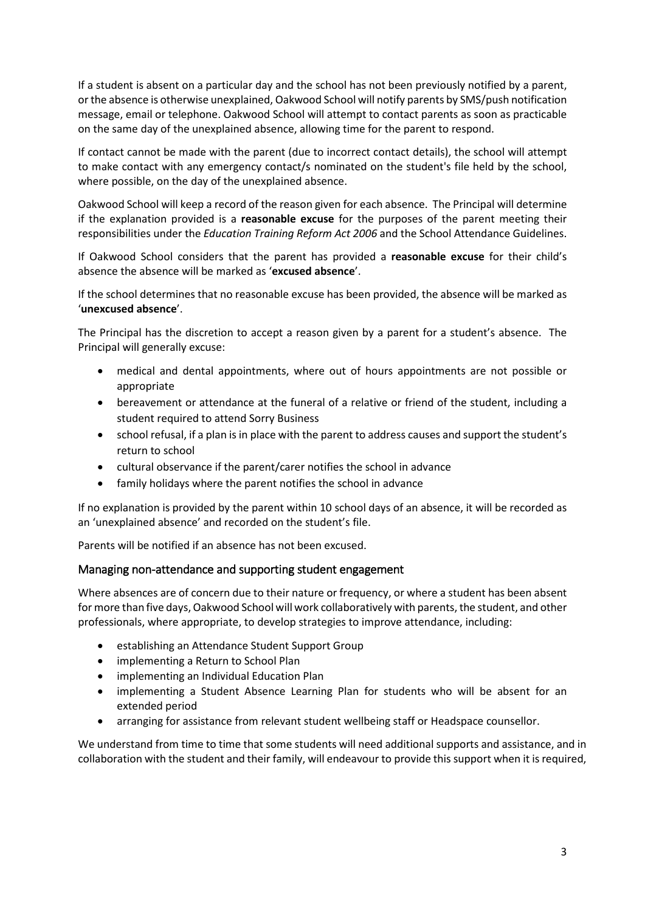If a student is absent on a particular day and the school has not been previously notified by a parent, or the absence is otherwise unexplained, Oakwood School will notify parents by SMS/push notification message, email or telephone. Oakwood School will attempt to contact parents as soon as practicable on the same day of the unexplained absence, allowing time for the parent to respond.

If contact cannot be made with the parent (due to incorrect contact details), the school will attempt to make contact with any emergency contact/s nominated on the student's file held by the school, where possible, on the day of the unexplained absence.

Oakwood School will keep a record of the reason given for each absence. The Principal will determine if the explanation provided is a **reasonable excuse** for the purposes of the parent meeting their responsibilities under the *Education Training Reform Act 2006* and the School Attendance Guidelines.

If Oakwood School considers that the parent has provided a **reasonable excuse** for their child's absence the absence will be marked as '**excused absence**'.

If the school determines that no reasonable excuse has been provided, the absence will be marked as '**unexcused absence**'.

The Principal has the discretion to accept a reason given by a parent for a student's absence. The Principal will generally excuse:

- medical and dental appointments, where out of hours appointments are not possible or appropriate
- bereavement or attendance at the funeral of a relative or friend of the student, including a student required to attend Sorry Business
- school refusal, if a plan is in place with the parent to address causes and support the student's return to school
- cultural observance if the parent/carer notifies the school in advance
- family holidays where the parent notifies the school in advance

If no explanation is provided by the parent within 10 school days of an absence, it will be recorded as an 'unexplained absence' and recorded on the student's file.

Parents will be notified if an absence has not been excused.

#### Managing non-attendance and supporting student engagement

Where absences are of concern due to their nature or frequency, or where a student has been absent for more than five days, Oakwood School will work collaboratively with parents, the student, and other professionals, where appropriate, to develop strategies to improve attendance, including:

- establishing an Attendance Student Support Group
- implementing a Return to School Plan
- implementing an Individual Education Plan
- implementing a Student Absence Learning Plan for students who will be absent for an extended period
- arranging for assistance from relevant student wellbeing staff or Headspace counsellor.

We understand from time to time that some students will need additional supports and assistance, and in collaboration with the student and their family, will endeavour to provide this support when it is required,